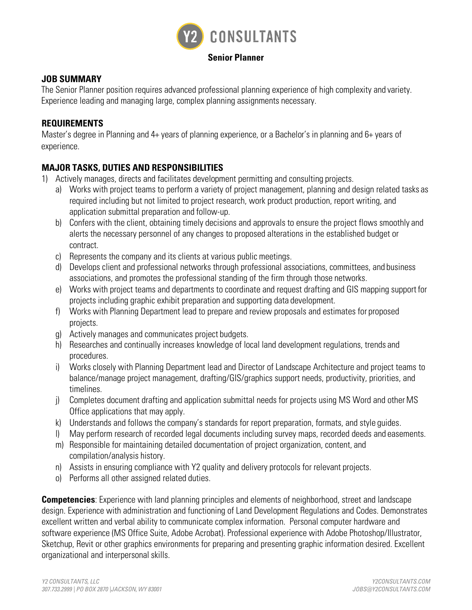

#### **Senior Planner**

## **JOB SUMMARY**

The Senior Planner position requires advanced professional planning experience of high complexity and variety. Experience leading and managing large, complex planning assignments necessary.

## **REQUIREMENTS**

Master's degree in Planning and 4+ years of planning experience, or a Bachelor's in planning and 6+ years of experience.

# **MAJOR TASKS, DUTIES AND RESPONSIBILITIES**

- 1) Actively manages, directs and facilitates development permitting and consulting projects.
	- a) Works with project teams to perform a variety of project management, planning and design related tasks as required including but not limited to project research, work product production, report writing, and application submittal preparation and follow-up.
	- b) Confers with the client, obtaining timely decisions and approvals to ensure the project flows smoothly and alerts the necessary personnel of any changes to proposed alterations in the established budget or contract.
	- c) Represents the company and its clients at various public meetings.
	- d) Develops client and professional networks through professional associations, committees, and business associations, and promotes the professional standing of the firm through those networks.
	- e) Works with project teams and departments to coordinate and request drafting and GIS mapping support for projects including graphic exhibit preparation and supporting data development.
	- f) Works with Planning Department lead to prepare and review proposals and estimates for proposed projects.
	- g) Actively manages and communicates project budgets.
	- h) Researches and continually increases knowledge of local land development regulations, trends and procedures.
	- i) Works closely with Planning Department lead and Director of Landscape Architecture and project teams to balance/manage project management, drafting/GIS/graphics support needs, productivity, priorities, and timelines.
	- j) Completes document drafting and application submittal needs for projects using MS Word and other MS Office applications that may apply.
	- k) Understands and follows the company's standards for report preparation, formats, and style guides.
	- l) May perform research of recorded legal documents including survey maps, recorded deeds and easements.
	- m) Responsible for maintaining detailed documentation of project organization, content, and compilation/analysis history.
	- n) Assists in ensuring compliance with Y2 quality and delivery protocols for relevant projects.
	- o) Performs all other assigned related duties.

**Competencies**: Experience with land planning principles and elements of neighborhood, street and landscape design. Experience with administration and functioning of Land Development Regulations and Codes. Demonstrates excellent written and verbal ability to communicate complex information. Personal computer hardware and software experience (MS Office Suite, Adobe Acrobat). Professional experience with Adobe Photoshop/Illustrator, Sketchup, Revit or other graphics environments for preparing and presenting graphic information desired. Excellent organizational and interpersonal skills.